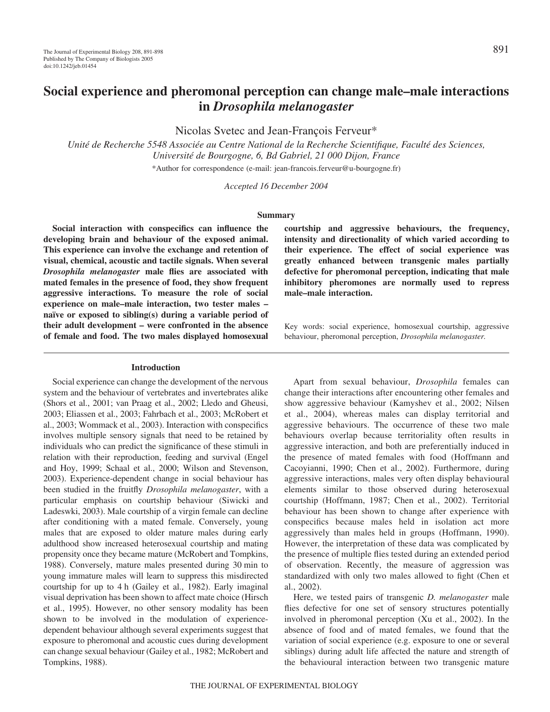# **Social experience and pheromonal perception can change male–male interactions in** *Drosophila melanogaster*

Nicolas Svetec and Jean-François Ferveur\*

*Unité de Recherche 5548 Associée au Centre National de la Recherche Scientifique, Faculté des Sciences, Université de Bourgogne, 6, Bd Gabriel, 21 000 Dijon, France* \*Author for correspondence (e-mail: jean-francois.ferveur@u-bourgogne.fr)

*Accepted 16 December 2004*

#### **Summary**

**Social interaction with conspecifics can influence the developing brain and behaviour of the exposed animal. This experience can involve the exchange and retention of visual, chemical, acoustic and tactile signals. When several** *Drosophila melanogaster* **male flies are associated with mated females in the presence of food, they show frequent aggressive interactions. To measure the role of social experience on male–male interaction, two tester males – naïve or exposed to sibling(s) during a variable period of their adult development – were confronted in the absence of female and food. The two males displayed homosexual**

#### **Introduction**

Social experience can change the development of the nervous system and the behaviour of vertebrates and invertebrates alike (Shors et al., 2001; van Praag et al., 2002; Lledo and Gheusi, 2003; Eliassen et al., 2003; Fahrbach et al., 2003; McRobert et al., 2003; Wommack et al., 2003). Interaction with conspecifics involves multiple sensory signals that need to be retained by individuals who can predict the significance of these stimuli in relation with their reproduction, feeding and survival (Engel and Hoy, 1999; Schaal et al., 2000; Wilson and Stevenson, 2003). Experience-dependent change in social behaviour has been studied in the fruitfly *Drosophila melanogaster*, with a particular emphasis on courtship behaviour (Siwicki and Ladeswki, 2003). Male courtship of a virgin female can decline after conditioning with a mated female. Conversely, young males that are exposed to older mature males during early adulthood show increased heterosexual courtship and mating propensity once they became mature (McRobert and Tompkins, 1988). Conversely, mature males presented during 30 min to young immature males will learn to suppress this misdirected courtship for up to 4 h (Gailey et al., 1982). Early imaginal visual deprivation has been shown to affect mate choice (Hirsch et al., 1995). However, no other sensory modality has been shown to be involved in the modulation of experiencedependent behaviour although several experiments suggest that exposure to pheromonal and acoustic cues during development can change sexual behaviour (Gailey et al., 1982; McRobert and Tompkins, 1988).

**courtship and aggressive behaviours, the frequency, intensity and directionality of which varied according to their experience. The effect of social experience was greatly enhanced between transgenic males partially defective for pheromonal perception, indicating that male inhibitory pheromones are normally used to repress male–male interaction.**

Key words: social experience, homosexual courtship, aggressive behaviour, pheromonal perception, *Drosophila melanogaster.*

Apart from sexual behaviour, *Drosophila* females can change their interactions after encountering other females and show aggressive behaviour (Kamyshev et al., 2002; Nilsen et al., 2004), whereas males can display territorial and aggressive behaviours. The occurrence of these two male behaviours overlap because territoriality often results in aggressive interaction, and both are preferentially induced in the presence of mated females with food (Hoffmann and Cacoyianni, 1990; Chen et al., 2002). Furthermore, during aggressive interactions, males very often display behavioural elements similar to those observed during heterosexual courtship (Hoffmann, 1987; Chen et al., 2002). Territorial behaviour has been shown to change after experience with conspecifics because males held in isolation act more aggressively than males held in groups (Hoffmann, 1990). However, the interpretation of these data was complicated by the presence of multiple flies tested during an extended period of observation. Recently, the measure of aggression was standardized with only two males allowed to fight (Chen et al., 2002).

Here, we tested pairs of transgenic *D. melanogaster* male flies defective for one set of sensory structures potentially involved in pheromonal perception (Xu et al., 2002). In the absence of food and of mated females, we found that the variation of social experience (e.g. exposure to one or several siblings) during adult life affected the nature and strength of the behavioural interaction between two transgenic mature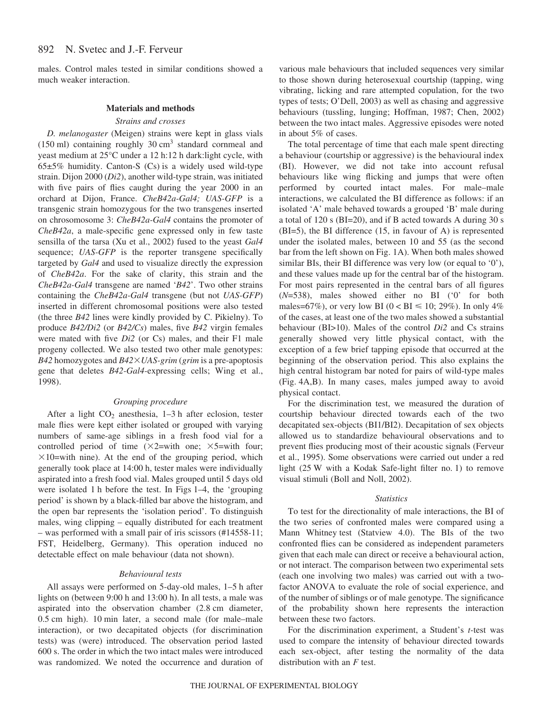males. Control males tested in similar conditions showed a much weaker interaction.

# **Materials and methods**

## *Strains and crosses*

*D. melanogaster* (Meigen) strains were kept in glass vials  $(150 \text{ ml})$  containing roughly 30 cm<sup>3</sup> standard cornmeal and yeast medium at 25°C under a 12 h:12 h dark:light cycle, with  $65±5%$  humidity. Canton-S (Cs) is a widely used wild-type strain. Dijon 2000 (*Di2*), another wild-type strain, was initiated with five pairs of flies caught during the year 2000 in an orchard at Dijon, France. *CheB42a-Gal4; UAS-GFP* is a transgenic strain homozygous for the two transgenes inserted on chrosomosome 3: *CheB42a-Gal4* contains the promoter of *CheB42a*, a male-specific gene expressed only in few taste sensilla of the tarsa (Xu et al., 2002) fused to the yeast *Gal4* sequence; *UAS-GFP* is the reporter transgene specifically targeted by *Gal4* and used to visualize directly the expression of *CheB42a*. For the sake of clarity, this strain and the *CheB42a-Gal4* transgene are named '*B42*'. Two other strains containing the *CheB42a-Gal4* transgene (but not *UAS-GFP*) inserted in different chromosomal positions were also tested (the three *B42* lines were kindly provided by C. Pikielny). To produce *B42/Di2* (or *B42/Cs*) males, five *B42* virgin females were mated with five *Di2* (or Cs) males, and their F1 male progeny collected. We also tested two other male genotypes: *B42* homozygotes and *B42UAS-grim* (*grim* is a pre-apoptosis gene that deletes *B42-Gal4-*expressing cells; Wing et al., 1998).

# *Grouping procedure*

After a light  $CO<sub>2</sub>$  anesthesia, 1–3 h after eclosion, tester male flies were kept either isolated or grouped with varying numbers of same-age siblings in a fresh food vial for a controlled period of time  $(\times 2=$ with one;  $\times 5=$ with four;  $\times$ 10=with nine). At the end of the grouping period, which generally took place at 14:00 h, tester males were individually aspirated into a fresh food vial. Males grouped until 5 days old were isolated 1 h before the test. In Figs 1–4, the 'grouping period' is shown by a black-filled bar above the histogram, and the open bar represents the 'isolation period'. To distinguish males, wing clipping – equally distributed for each treatment – was performed with a small pair of iris scissors (#14558-11; FST, Heidelberg, Germany). This operation induced no detectable effect on male behaviour (data not shown).

## *Behavioural tests*

All assays were performed on 5-day-old males, 1–5 h after lights on (between 9:00 h and 13:00 h). In all tests, a male was aspirated into the observation chamber (2.8 cm diameter,  $0.5$  cm high). 10 min later, a second male (for male–male interaction), or two decapitated objects (for discrimination tests) was (were) introduced. The observation period lasted 600 s. The order in which the two intact males were introduced was randomized. We noted the occurrence and duration of various male behaviours that included sequences very similar to those shown during heterosexual courtship (tapping, wing vibrating, licking and rare attempted copulation, for the two types of tests; O'Dell, 2003) as well as chasing and aggressive behaviours (tussling, lunging; Hoffman, 1987; Chen, 2002) between the two intact males. Aggressive episodes were noted in about 5% of cases.

The total percentage of time that each male spent directing a behaviour (courtship or aggressive) is the behavioural index (BI). However, we did not take into account refusal behaviours like wing flicking and jumps that were often performed by courted intact males. For male–male interactions, we calculated the BI difference as follows: if an isolated 'A' male behaved towards a grouped 'B' male during a total of  $120$  s (BI=20), and if B acted towards A during 30 s (BI=5), the BI difference (15, in favour of A) is represented under the isolated males, between 10 and 55 (as the second bar from the left shown on Fig. 1A). When both males showed similar BIs, their BI difference was very low (or equal to '0'), and these values made up for the central bar of the histogram. For most pairs represented in the central bars of all figures (*N*=538), males showed either no BI ('0' for both males=67%), or very low BI ( $0 < BI \le 10$ ; 29%). In only 4% of the cases, at least one of the two males showed a substantial behaviour (BI>10). Males of the control *Di2* and Cs strains generally showed very little physical contact, with the exception of a few brief tapping episode that occurred at the beginning of the observation period. This also explains the high central histogram bar noted for pairs of wild-type males (Fig. 4A,B). In many cases, males jumped away to avoid physical contact.

For the discrimination test, we measured the duration of courtship behaviour directed towards each of the two decapitated sex-objects (BI1/BI2). Decapitation of sex objects allowed us to standardize behavioural observations and to prevent flies producing most of their acoustic signals (Ferveur et al., 1995). Some observations were carried out under a red light  $(25 \text{ W}$  with a Kodak Safe-light filter no. 1) to remove visual stimuli (Boll and Noll, 2002).

## *Statistics*

To test for the directionality of male interactions, the BI of the two series of confronted males were compared using a Mann Whitney test (Statview 4.0). The BIs of the two confronted flies can be considered as independent parameters given that each male can direct or receive a behavioural action, or not interact. The comparison between two experimental sets (each one involving two males) was carried out with a twofactor ANOVA to evaluate the role of social experience, and of the number of siblings or of male genotype. The significance of the probability shown here represents the interaction between these two factors.

For the discrimination experiment, a Student's *t-*test was used to compare the intensity of behaviour directed towards each sex-object, after testing the normality of the data distribution with an *F* test.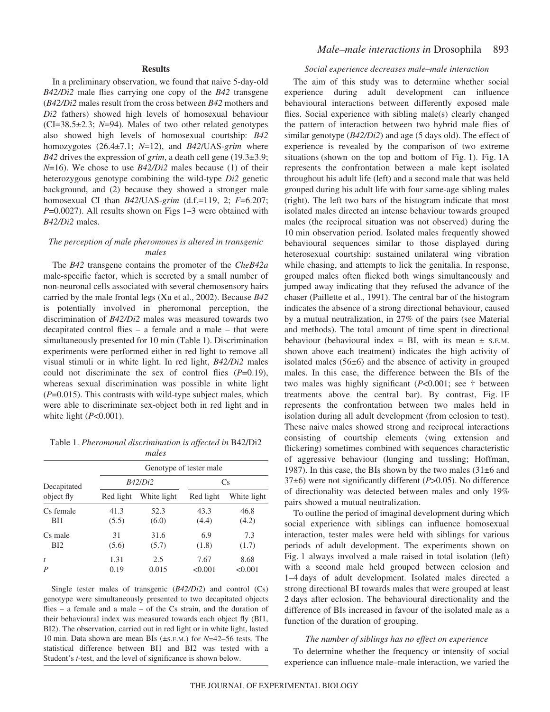# **Results**

In a preliminary observation, we found that naive 5-day-old *B42/Di2* male flies carrying one copy of the *B42* transgene (*B42/Di2* males result from the cross between *B42* mothers and *Di2* fathers) showed high levels of homosexual behaviour (CI=38.5±2.3; *N*=94). Males of two other related genotypes also showed high levels of homosexual courtship: *B42* homozygotes (26.4±7.1; *N*=12), and *B42*/UAS-*grim* where *B42* drives the expression of *grim*, a death cell gene (19.3±3.9; *N*=16). We chose to use *B42/Di2* males because (1) of their heterozygous genotype combining the wild-type *Di2* genetic background, and (2) because they showed a stronger male homosexual CI than *B42*/UAS-*grim* (d.f.=119, 2; *F*=6.207; *P*=0.0027). All results shown on Figs 1–3 were obtained with *B42/Di2* males.

# *The perception of male pheromones is altered in transgenic males*

The *B42* transgene contains the promoter of the *CheB42a* male-specific factor, which is secreted by a small number of non-neuronal cells associated with several chemosensory hairs carried by the male frontal legs (Xu et al., 2002). Because *B42* is potentially involved in pheromonal perception, the discrimination of *B42/Di2* males was measured towards two decapitated control flies – a female and a male – that were simultaneously presented for 10 min (Table 1). Discrimination experiments were performed either in red light to remove all visual stimuli or in white light. In red light, *B42/Di2* males could not discriminate the sex of control flies (*P*=0.19), whereas sexual discrimination was possible in white light (*P*=0.015). This contrasts with wild-type subject males, which were able to discriminate sex-object both in red light and in white light (*P*<0.001).

Table 1. *Pheromonal discrimination is affected in* B42/Di2 *males*

| Decapitated<br>object fly | Genotype of tester male |             |           |             |
|---------------------------|-------------------------|-------------|-----------|-------------|
|                           | B42/Di2                 |             | Cs        |             |
|                           | Red light               | White light | Red light | White light |
| Cs female                 | 41.3                    | 52.3        | 43.3      | 46.8        |
| BI1                       | (5.5)                   | (6.0)       | (4.4)     | (4.2)       |
| Cs male                   | 31                      | 31.6        | 6.9       | 7.3         |
| BI2                       | (5.6)                   | (5.7)       | (1.8)     | (1.7)       |
| t                         | 1.31                    | 2.5         | 7.67      | 8.68        |
| P                         | 0.19                    | 0.015       | < 0.001   | < 0.001     |

Single tester males of transgenic (*B42/Di2*) and control (Cs) genotype were simultaneously presented to two decapitated objects flies – a female and a male – of the Cs strain, and the duration of their behavioural index was measured towards each object fly (BI1, BI2). The observation, carried out in red light or in white light, lasted 10 min. Data shown are mean BIs (±s.E.M.) for *N*=42–56 tests. The statistical difference between BI1 and BI2 was tested with a Student's *t*-test, and the level of significance is shown below.

# *Male–male interactions in* Drosophila 893

# *Social experience decreases male–male interaction*

The aim of this study was to determine whether social experience during adult development can influence behavioural interactions between differently exposed male flies. Social experience with sibling male(s) clearly changed the pattern of interaction between two hybrid male flies of similar genotype  $(B42/Di2)$  and age (5 days old). The effect of experience is revealed by the comparison of two extreme situations (shown on the top and bottom of Fig. 1). Fig.  $1A$ represents the confrontation between a male kept isolated throughout his adult life (left) and a second male that was held grouped during his adult life with four same-age sibling males (right). The left two bars of the histogram indicate that most isolated males directed an intense behaviour towards grouped males (the reciprocal situation was not observed) during the 10 min observation period. Isolated males frequently showed behavioural sequences similar to those displayed during heterosexual courtship: sustained unilateral wing vibration while chasing, and attempts to lick the genitalia. In response, grouped males often flicked both wings simultaneously and jumped away indicating that they refused the advance of the chaser (Paillette et al., 1991). The central bar of the histogram indicates the absence of a strong directional behaviour, caused by a mutual neutralization, in 27% of the pairs (see Material and methods). The total amount of time spent in directional behaviour (behavioural index = BI, with its mean  $\pm$  s.E.M. shown above each treatment) indicates the high activity of isolated males (56±6) and the absence of activity in grouped males. In this case, the difference between the BIs of the two males was highly significant (*P*<0.001; see † between treatments above the central bar). By contrast, Fig.  $1F$ represents the confrontation between two males held in isolation during all adult development (from eclosion to test). These naive males showed strong and reciprocal interactions consisting of courtship elements (wing extension and flickering) sometimes combined with sequences characteristic of aggressive behaviour (lunging and tussling; Hoffman, 1987). In this case, the BIs shown by the two males  $(31\pm6)$  and 37±6) were not significantly different (*P*>0.05). No difference of directionality was detected between males and only 19% pairs showed a mutual neutralization.

To outline the period of imaginal development during which social experience with siblings can influence homosexual interaction, tester males were held with siblings for various periods of adult development. The experiments shown on Fig. 1 always involved a male raised in total isolation (left) with a second male held grouped between eclosion and 1–4 days of adult development. Isolated males directed a strong directional BI towards males that were grouped at least 2 days after eclosion. The behavioural directionality and the difference of BIs increased in favour of the isolated male as a function of the duration of grouping.

# *The number of siblings has no effect on experience*

To determine whether the frequency or intensity of social experience can influence male–male interaction, we varied the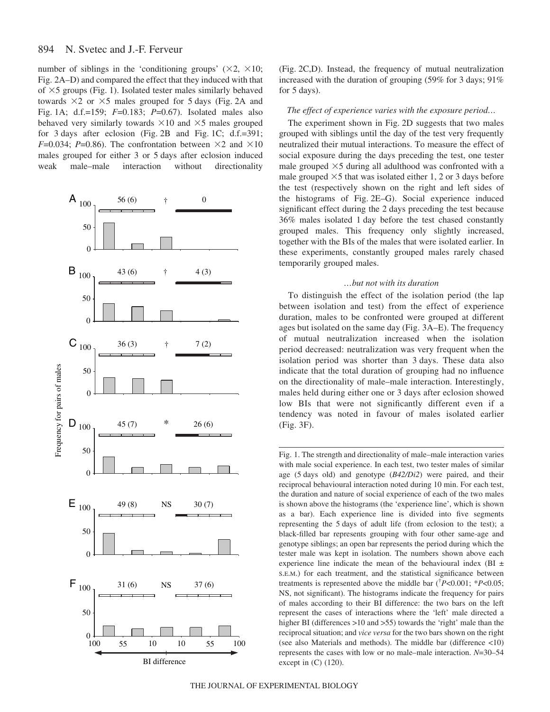#### 894 N. Svetec and J.-F. Ferveur

number of siblings in the 'conditioning groups'  $(\times 2, \times 10;$ Fig. 2A–D) and compared the effect that they induced with that of  $\times$ 5 groups (Fig. 1). Isolated tester males similarly behaved towards  $\times$ 2 or  $\times$ 5 males grouped for 5 days (Fig. 2A and Fig. 1A; d.f.=159; *F*=0.183; *P*=0.67). Isolated males also behaved very similarly towards  $\times 10$  and  $\times 5$  males grouped for 3 days after eclosion (Fig. 2B and Fig. 1C; d.f.=391; *F*=0.034; *P*=0.86). The confrontation between  $\times$ 2 and  $\times$ 10 males grouped for either 3 or 5 days after eclosion induced weak male–male interaction without directionality



(Fig. 2C,D). Instead, the frequency of mutual neutralization increased with the duration of grouping  $(59\%$  for 3 days;  $91\%$ for 5 days).

# *The effect of experience varies with the exposure period...*

The experiment shown in Fig. 2D suggests that two males grouped with siblings until the day of the test very frequently neutralized their mutual interactions. To measure the effect of social exposure during the days preceding the test, one tester male grouped  $\times$ 5 during all adulthood was confronted with a male grouped  $\times$ 5 that was isolated either 1, 2 or 3 days before the test (respectively shown on the right and left sides of the histograms of Fig.  $2E-G$ ). Social experience induced significant effect during the 2 days preceding the test because 36% males isolated 1 day before the test chased constantly grouped males. This frequency only slightly increased, together with the BIs of the males that were isolated earlier. In these experiments, constantly grouped males rarely chased temporarily grouped males.

# *…but not with its duration*

To distinguish the effect of the isolation period (the lap between isolation and test) from the effect of experience duration, males to be confronted were grouped at different ages but isolated on the same day (Fig. 3A–E). The frequency of mutual neutralization increased when the isolation period decreased: neutralization was very frequent when the isolation period was shorter than 3 days. These data also indicate that the total duration of grouping had no influence on the directionality of male–male interaction. Interestingly, males held during either one or 3 days after eclosion showed low BIs that were not significantly different even if a tendency was noted in favour of males isolated earlier (Fig. 3F).

Fig. 1. The strength and directionality of male–male interaction varies with male social experience. In each test, two tester males of similar age (5 days old) and genotype ( $B42/Di2$ ) were paired, and their reciprocal behavioural interaction noted during 10 min. For each test, the duration and nature of social experience of each of the two males is shown above the histograms (the 'experience line', which is shown as a bar). Each experience line is divided into five segments representing the 5 days of adult life (from eclosion to the test); a black-filled bar represents grouping with four other same-age and genotype siblings; an open bar represents the period during which the tester male was kept in isolation. The numbers shown above each experience line indicate the mean of the behavioural index (BI ± S.E.M.) for each treatment, and the statistical significance between treatments is represented above the middle bar († *P*<0.001; \**P*<0.05; NS, not significant). The histograms indicate the frequency for pairs of males according to their BI difference: the two bars on the left represent the cases of interactions where the 'left' male directed a higher BI (differences >10 and >55) towards the 'right' male than the reciprocal situation; and *vice versa* for the two bars shown on the right (see also Materials and methods). The middle bar (difference <10) represents the cases with low or no male–male interaction. *N*=30–54 except in (C) (120).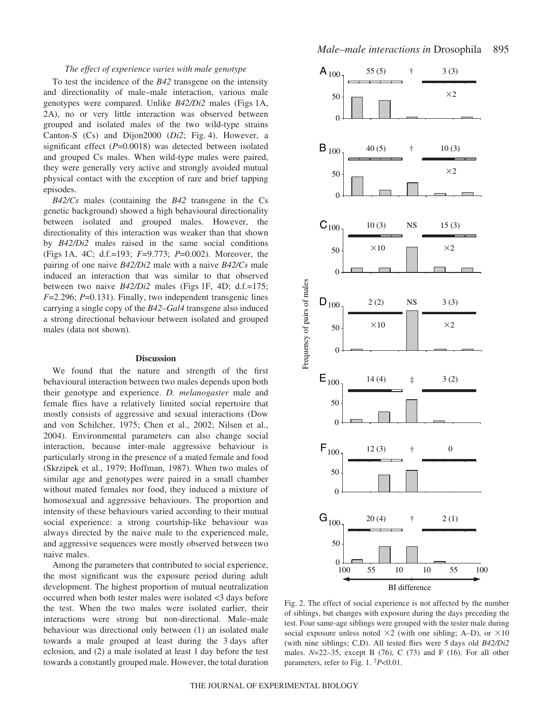# *The effect of experience varies with male genotype*

To test the incidence of the *B42* transgene on the intensity and directionality of male–male interaction, various male genotypes were compared. Unlike *B42/Di2* males (Figs 1A, 2A), no or very little interaction was observed between grouped and isolated males of the two wild-type strains Canton-S  $(Cs)$  and Dijon2000  $(Di2; Fig. 4)$ . However, a significant effect (*P*=0.0018) was detected between isolated and grouped Cs males. When wild-type males were paired, they were generally very active and strongly avoided mutual physical contact with the exception of rare and brief tapping episodes.

*B42/Cs* males (containing the *B42* transgene in the Cs genetic background) showed a high behavioural directionality between isolated and grouped males. However, the directionality of this interaction was weaker than that shown by *B42/Di2* males raised in the same social conditions (Figs·1A, 4C; d.f.=193; *F*=9.773; *P*=0.002). Moreover, the pairing of one naive *B42/Di2* male with a naive *B42/Cs* male induced an interaction that was similar to that observed between two naive *B42/Di2* males (Figs 1F, 4D; d.f.=175; *F*=2.296; *P*=0.131). Finally, two independent transgenic lines carrying a single copy of the *B42–Gal4* transgene also induced a strong directional behaviour between isolated and grouped males (data not shown).

## **Discussion**

We found that the nature and strength of the first behavioural interaction between two males depends upon both their genotype and experience. *D. melanogaster* male and female flies have a relatively limited social repertoire that mostly consists of aggressive and sexual interactions (Dow and von Schilcher, 1975; Chen et al., 2002; Nilsen et al., 2004). Environmental parameters can also change social interaction, because inter-male aggressive behaviour is particularly strong in the presence of a mated female and food (Skrzipek et al., 1979; Hoffman, 1987). When two males of similar age and genotypes were paired in a small chamber without mated females nor food, they induced a mixture of homosexual and aggressive behaviours. The proportion and intensity of these behaviours varied according to their mutual social experience: a strong courtship-like behaviour was always directed by the naive male to the experienced male, and aggressive sequences were mostly observed between two naive males.

Among the parameters that contributed to social experience, the most significant was the exposure period during adult development. The highest proportion of mutual neutralization occurred when both tester males were isolated <3 days before the test. When the two males were isolated earlier, their interactions were strong but non-directional. Male–male behaviour was directional only between (1) an isolated male towards a male grouped at least during the 3 days after eclosion, and (2) a male isolated at least 1 day before the test towards a constantly grouped male. However, the total duration



Fig. 2. The effect of social experience is not affected by the number of siblings, but changes with exposure during the days preceding the test. Four same-age siblings were grouped with the tester male during social exposure unless noted  $\times$ 2 (with one sibling; A–D), or  $\times$ 10 (with nine siblings; C,D). All tested flies were 5 days old *B42/Di2* males. *N*=22–35, except B (76), C (73) and F (16). For all other parameters, refer to Fig. 1.  $^{\ddagger}P<0.01$ .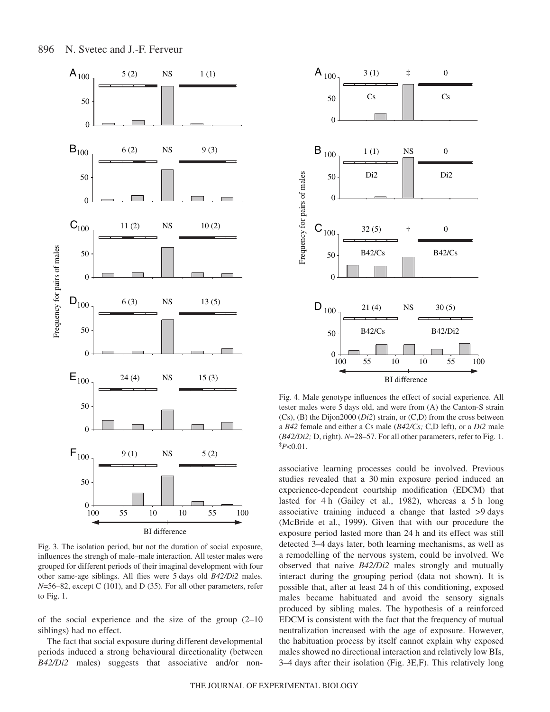

Fig. 3. The isolation period, but not the duration of social exposure, influences the strengh of male–male interaction. All tester males were grouped for different periods of their imaginal development with four other same-age siblings. All flies were 5 days old *B42/Di2* males. *N*=56–82, except C (101), and D (35). For all other parameters, refer to Fig.  $1$ .

of the social experience and the size of the group (2–10 siblings) had no effect.

The fact that social exposure during different developmental periods induced a strong behavioural directionality (between *B42/Di2* males) suggests that associative and/or non-



Fig. 4. Male genotype influences the effect of social experience. All tester males were 5 days old, and were from (A) the Canton-S strain (Cs), (B) the Dijon2000 (*Di2*) strain, or (C,D) from the cross between a *B42* female and either a Cs male (*B42/Cs;* C,D left), or a *Di2* male ( $B42/Di2$ ; D, right).  $N=28-57$ . For all other parameters, refer to Fig. 1. ‡ *P*<0.01.

associative learning processes could be involved. Previous studies revealed that a 30 min exposure period induced an experience-dependent courtship modification (EDCM) that lasted for  $4 h$  (Gailey et al., 1982), whereas a  $5 h$  long associative training induced a change that lasted  $>9$  days (McBride et al., 1999). Given that with our procedure the exposure period lasted more than 24 h and its effect was still detected 3–4 days later, both learning mechanisms, as well as a remodelling of the nervous system, could be involved. We observed that naive *B42/Di2* males strongly and mutually interact during the grouping period (data not shown). It is possible that, after at least 24 h of this conditioning, exposed males became habituated and avoid the sensory signals produced by sibling males. The hypothesis of a reinforced EDCM is consistent with the fact that the frequency of mutual neutralization increased with the age of exposure. However, the habituation process by itself cannot explain why exposed males showed no directional interaction and relatively low BIs, 3–4 days after their isolation (Fig. 3E,F). This relatively long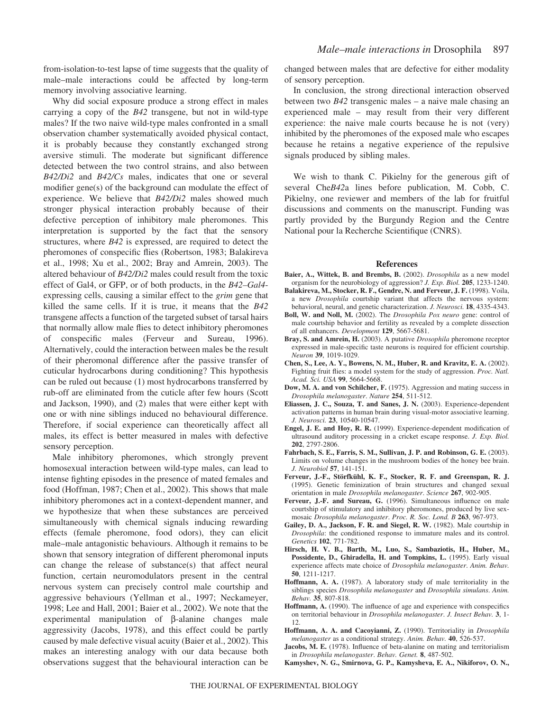from-isolation-to-test lapse of time suggests that the quality of male–male interactions could be affected by long-term memory involving associative learning.

Why did social exposure produce a strong effect in males carrying a copy of the *B42* transgene, but not in wild-type males? If the two naive wild-type males confronted in a small observation chamber systematically avoided physical contact, it is probably because they constantly exchanged strong aversive stimuli. The moderate but significant difference detected between the two control strains, and also between *B42/Di2* and *B42/Cs* males, indicates that one or several modifier gene(s) of the background can modulate the effect of experience. We believe that *B42/Di2* males showed much stronger physical interaction probably because of their defective perception of inhibitory male pheromones. This interpretation is supported by the fact that the sensory structures, where *B42* is expressed, are required to detect the pheromones of conspecific flies (Robertson, 1983; Balakireva et al., 1998; Xu et al., 2002; Bray and Amrein, 2003). The altered behaviour of *B42/Di2* males could result from the toxic effect of Gal4, or GFP, or of both products, in the *B42–Gal4* expressing cells, causing a similar effect to the *grim* gene that killed the same cells. If it is true, it means that the *B42* transgene affects a function of the targeted subset of tarsal hairs that normally allow male flies to detect inhibitory pheromones of conspecific males (Ferveur and Sureau, 1996). Alternatively, could the interaction between males be the result of their pheromonal difference after the passive transfer of cuticular hydrocarbons during conditioning? This hypothesis can be ruled out because (1) most hydrocarbons transferred by rub-off are eliminated from the cuticle after few hours (Scott and Jackson, 1990), and (2) males that were either kept with one or with nine siblings induced no behavioural difference. Therefore, if social experience can theoretically affect all males, its effect is better measured in males with defective sensory perception.

Male inhibitory pheromones, which strongly prevent homosexual interaction between wild-type males, can lead to intense fighting episodes in the presence of mated females and food (Hoffman, 1987; Chen et al., 2002). This shows that male inhibitory pheromones act in a context-dependent manner, and we hypothesize that when these substances are perceived simultaneously with chemical signals inducing rewarding effects (female pheromone, food odors), they can elicit male–male antagonistic behaviours. Although it remains to be shown that sensory integration of different pheromonal inputs can change the release of substance(s) that affect neural function, certain neuromodulators present in the central nervous system can precisely control male courtship and aggressive behaviours (Yellman et al., 1997; Neckameyer, 1998; Lee and Hall, 2001; Baier et al., 2002). We note that the experimental manipulation of β-alanine changes male aggressivity (Jacobs, 1978), and this effect could be partly caused by male defective visual acuity (Baier et al., 2002). This makes an interesting analogy with our data because both observations suggest that the behavioural interaction can be changed between males that are defective for either modality of sensory perception.

In conclusion, the strong directional interaction observed between two *B42* transgenic males – a naive male chasing an experienced male – may result from their very different experience: the naive male courts because he is not (very) inhibited by the pheromones of the exposed male who escapes because he retains a negative experience of the repulsive signals produced by sibling males.

We wish to thank C. Pikielny for the generous gift of several Che*B42*a lines before publication, M. Cobb, C. Pikielny, one reviewer and members of the lab for fruitful discussions and comments on the manuscript. Funding was partly provided by the Burgundy Region and the Centre National pour la Recherche Scientifique (CNRS).

#### **References**

- **Baier, A., Wittek, B. and Brembs, B.** (2002). *Drosophila* as a new model organism for the neurobiology of aggression? *J. Exp. Biol.* **205**, 1233-1240.
- **Balakireva, M., Stocker, R. F., Gendre, N. and Ferveur, J. F.** (1998). Voila, a new *Drosophila* courtship variant that affects the nervous system: behavioral, neural, and genetic characterization. *J. Neurosci.* **18**, 4335-4343.
- **Boll, W. and Noll, M.** (2002). The *Drosophila Pox neuro* gene: control of male courtship behavior and fertility as revealed by a complete dissection of all enhancers. *Development* **129**, 5667-5681.
- **Bray, S. and Amrein, H.** (2003). A putative *Drosophila* pheromone receptor expressed in male-specific taste neurons is required for efficient courtship. *Neuron* **39**, 1019-1029.
- **Chen, S., Lee, A. Y., Bowens, N. M., Huber, R. and Kravitz, E. A.** (2002). Fighting fruit flies: a model system for the study of aggression. *Proc. Natl. Acad. Sci. USA* **99**, 5664-5668.
- **Dow, M. A. and von Schilcher, F.** (1975). Aggression and mating success in *Drosophila melanogaster*. *Nature* **254**, 511-512.
- **Eliassen, J. C., Souza, T. and Sanes, J. N.** (2003). Experience-dependent activation patterns in human brain during visual-motor associative learning. *J. Neurosci.* **23**, 10540-10547.
- **Engel, J. E. and Hoy, R. R.** (1999). Experience-dependent modification of ultrasound auditory processing in a cricket escape response. *J. Exp. Biol.* **202**, 2797-2806.
- **Fahrbach, S. E., Farris, S. M., Sullivan, J. P. and Robinson, G. E.** (2003). Limits on volume changes in the mushroom bodies of the honey bee brain. *J. Neurobiol* **57**, 141-151.
- **Ferveur, J.-F., Störfkühl, K. F., Stocker, R. F. and Greenspan, R. J.** (1995). Genetic feminization of brain structures and changed sexual orientation in male *Drosophila melanogaster*. *Science* **267**, 902-905.
- **Ferveur, J.-F. and Sureau, G.** (1996). Simultaneous influence on male courtship of stimulatory and inhibitory pheromones, produced by live sexmosaic *Drosophila melanogaster*. *Proc. R. Soc. Lond. B* **263**, 967-973.
- **Gailey, D. A., Jackson, F. R. and Siegel, R. W.** (1982). Male courtship in *Drosophila*: the conditioned response to immature males and its control. *Genetics* **102**, 771-782.
- **Hirsch, H. V. B., Barth, M., Luo, S., Sambaziotis, H., Huber, M., Possidente, D., Ghiradella, H. and Tompkins, L.** (1995). Early visual experience affects mate choice of *Drosophila melanogaster*. *Anim. Behav.* **50**, 1211-1217.
- **Hoffmann, A. A.** (1987). A laboratory study of male territoriality in the siblings species *Drosophila melanogaster* and *Drosophila simulans*. *Anim. Behav.* **35**, 807-818.
- **Hoffmann, A.** (1990). The influence of age and experience with conspecifics on territorial behaviour in *Drosophila melanogaster*. *J. Insect Behav.* **3**, 1- 12.
- **Hoffmann, A. A. and Cacoyianni, Z.** (1990). Territoriality in *Drosophila melanogaster* as a conditional strategy. *Anim. Behav.* **40**, 526-537.
- **Jacobs, M. E.** (1978). Influence of beta-alanine on mating and territorialism in *Drosophila melanogaster*. *Behav. Genet.* **8**, 487-502.
- **Kamyshev, N. G., Smirnova, G. P., Kamysheva, E. A., Nikiforov, O. N.,**